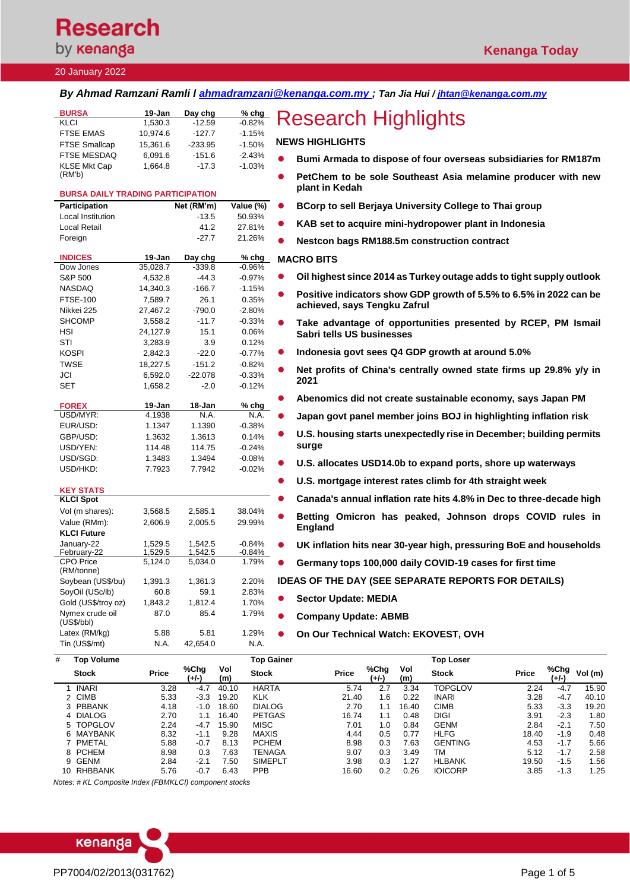# **Research** by **kenanga**

## 20 January 2022

*By Ahmad Ramzani Ramli l [ahmadramzani@kenanga.com.my](mailto:ahmadramzani@kenanga.com.my) ; Tan Jia Hui [/ jhtan@kenanga.com.my](mailto:jhtan@kenanga.com.my)*

| <b>BURSA</b><br><b>KLCI</b>              | 19-Jan<br>1,530.3 | Day chg<br>$-12.59$ | % chg<br>$-0.82%$          | <b>Research Highlights</b>                                                                    |
|------------------------------------------|-------------------|---------------------|----------------------------|-----------------------------------------------------------------------------------------------|
| <b>FTSE EMAS</b>                         | 10,974.6          | $-127.7$            | $-1.15%$                   |                                                                                               |
| <b>FTSE Smallcap</b>                     | 15,361.6          | $-233.95$           | $-1.50%$                   | <b>NEWS HIGHLIGHTS</b>                                                                        |
| FTSE MESDAQ                              | 6,091.6           | $-151.6$            | $-2.43%$                   |                                                                                               |
| <b>KLSE Mkt Cap</b>                      | 1,664.8           | $-17.3$             | $-1.03%$                   | Bumi Armada to dispose of four overseas subsidiaries for RM187m                               |
| (RM'b)                                   |                   |                     |                            | PetChem to be sole Southeast Asia melamine producer with new                                  |
| <b>BURSA DAILY TRADING PARTICIPATION</b> |                   |                     |                            | plant in Kedah                                                                                |
| <b>Participation</b>                     |                   | Net (RM'm)          | Value (%)                  | BCorp to sell Berjaya University College to Thai group                                        |
| Local Institution                        |                   | $-13.5$             | 50.93%                     |                                                                                               |
| Local Retail                             |                   | 41.2                | 27.81%                     | KAB set to acquire mini-hydropower plant in Indonesia                                         |
| Foreign                                  |                   | $-27.7$             | 21.26%                     | Nestcon bags RM188.5m construction contract                                                   |
| <b>INDICES</b>                           | 19-Jan            | Day chg             | $%$ chg                    | <b>MACRO BITS</b>                                                                             |
| Dow Jones                                | 35,028.7          | $-339.8$            | $-0.96%$                   |                                                                                               |
| S&P 500                                  | 4,532.8           | $-44.3$             | $-0.97%$                   | Oil highest since 2014 as Turkey outage adds to tight supply outlook                          |
| NASDAQ                                   | 14,340.3          | $-166.7$            | $-1.15%$                   | Positive indicators show GDP growth of 5.5% to 6.5% in 2022 can be                            |
| <b>FTSE-100</b>                          | 7,589.7           | 26.1                | 0.35%                      | achieved, says Tengku Zafrul                                                                  |
| Nikkei 225                               | 27,467.2          | $-790.0$            | $-2.80%$                   |                                                                                               |
| <b>SHCOMP</b>                            | 3,558.2           | $-11.7$             | $-0.33%$                   | Take advantage of opportunities presented by RCEP, PM Ismail                                  |
| HSI                                      | 24,127.9          | 15.1                | 0.06%                      | Sabri tells US businesses                                                                     |
| STI                                      | 3,283.9           | 3.9                 | 0.12%                      | Indonesia govt sees Q4 GDP growth at around 5.0%                                              |
| <b>KOSPI</b>                             | 2,842.3           | $-22.0$             | $-0.77%$                   |                                                                                               |
| <b>TWSE</b>                              | 18,227.5          | $-151.2$            | $-0.82%$                   | Net profits of China's centrally owned state firms up 29.8% y/y in                            |
| JCI                                      | 6,592.0           | $-22.078$           | $-0.33%$                   | 2021                                                                                          |
| SET                                      | 1,658.2           | $-2.0$              | $-0.12%$                   |                                                                                               |
| <b>FOREX</b>                             | 19-Jan            | 18-Jan              | $%$ chg                    | Abenomics did not create sustainable economy, says Japan PM                                   |
| USD/MYR:                                 | 4.1938            | N.A.                | N.A.                       | Japan govt panel member joins BOJ in highlighting inflation risk                              |
| EUR/USD:                                 | 1.1347            | 1.1390              | $-0.38%$                   |                                                                                               |
| GBP/USD:                                 | 1.3632            | 1.3613              | 0.14%                      | U.S. housing starts unexpectedly rise in December; building permits                           |
| USD/YEN:                                 | 114.48            | 114.75              | $-0.24%$                   | surge                                                                                         |
| USD/SGD:                                 | 1.3483            | 1.3494              | $-0.08%$                   | U.S. allocates USD14.0b to expand ports, shore up waterways                                   |
| USD/HKD:                                 | 7.7923            | 7.7942              | $-0.02%$                   |                                                                                               |
| <b>KEY STATS</b>                         |                   |                     |                            | U.S. mortgage interest rates climb for 4th straight week                                      |
| <b>KLCI Spot</b>                         |                   |                     |                            | Canada's annual inflation rate hits 4.8% in Dec to three-decade high                          |
| Vol (m shares):                          | 3,568.5           | 2,585.1             | 38.04%                     |                                                                                               |
| Value (RMm):                             | 2,606.9           | 2,005.5             | 29.99%                     | Betting Omicron has peaked, Johnson drops COVID rules in                                      |
| <b>KLCI Future</b>                       |                   |                     |                            | <b>England</b>                                                                                |
| January-22                               | 1,529.5           | 1.542.5             | $-0.84%$                   | UK inflation hits near 30-year high, pressuring BoE and households<br>$\bullet$               |
| February-22                              | 1,529.5           | 1,542.5             | -0.84%                     |                                                                                               |
| <b>CPO Price</b><br>(RM/tonne)           | 5,124.0           | 5.034.0             | 1.79%                      | Germany tops 100,000 daily COVID-19 cases for first time                                      |
| Soybean (US\$/bu)                        | 1,391.3           | 1,361.3             | 2.20%                      | IDEAS OF THE DAY (SEE SEPARATE REPORTS FOR DETAILS)                                           |
| SoyOil (USc/lb)                          | 60.8              | 59.1                | 2.83%                      |                                                                                               |
| Gold (US\$/troy oz)                      | 1,843.2           | 1,812.4             | 1.70%                      | <b>Sector Update: MEDIA</b>                                                                   |
| Nymex crude oil                          | 87.0              | 85.4                | 1.79%                      | <b>Company Update: ABMB</b>                                                                   |
| (US\$/bbI)<br>Latex (RM/kg)              | 5.88              | 5.81                | 1.29%                      |                                                                                               |
| Tin (US\$/mt)                            | N.A.              | 42,654.0            | N.A.                       | On Our Technical Watch: EKOVEST, OVH                                                          |
|                                          |                   |                     |                            |                                                                                               |
| <b>Top Volume</b><br>#                   |                   |                     | <b>Top Gainer</b>          | <b>Top Loser</b>                                                                              |
| Stock                                    | Price             | %Chg<br>$(+/-)$     | Vol<br><b>Stock</b><br>(m) | %Chg<br>%Chg<br>Vol<br>Vol (m)<br>Price<br><b>Stock</b><br>Price<br>$(+/-)$<br>(m)<br>$(+/-)$ |

|    | .              |              |               |            | .              |              |               |            |                |              |               |         |
|----|----------------|--------------|---------------|------------|----------------|--------------|---------------|------------|----------------|--------------|---------------|---------|
|    | <b>Stock</b>   | <b>Price</b> | %Chg<br>(+/-) | Vol<br>(m) | <b>Stock</b>   | <b>Price</b> | %Chg<br>(+/-) | Vol<br>(m) | <b>Stock</b>   | <b>Price</b> | %Chg<br>(+/-) | Vol (m) |
|    | <b>INARI</b>   | 3.28         | $-4.7$        | 40.10      | <b>HARTA</b>   | 5.74         | 2.7           | 3.34       | TOPGLOV        | 2.24         | $-4.$         | 15.90   |
|    | 2 CIMB         | 5.33         | $-3.3$        | 19.20      | <b>KLK</b>     | 21.40        | 1.6           | 0.22       | <b>INARI</b>   | 3.28         | $-4.7$        | 40.10   |
|    | 3 PBBANK       | 4.18         | -1.0          | 18.60      | <b>DIALOG</b>  | 2.70         | 1.1           | 16.40      | <b>CIMB</b>    | 5.33         | $-3.3$        | 19.20   |
|    | 4 DIALOG       | 2.70         |               | 16.40      | <b>PETGAS</b>  | 16.74        | 1.1           | 0.48       | <b>DIGI</b>    | 3.91         | $-2.3$        | 1.80    |
|    | 5 TOPGLOV      | 2.24         | $-4.7$        | 15.90      | <b>MISC</b>    | 7.01         | 1.0           | 0.84       | <b>GENM</b>    | 2.84         | $-2.1$        | 7.50    |
|    | 6 MAYBANK      | 8.32         | $-1.1$        | 9.28       | <b>MAXIS</b>   | 4.44         | 0.5           | 0.77       | <b>HLFG</b>    | 18.40        | $-1.9$        | 0.48    |
|    | PMETAL         | 5.88         | $-0.7$        | 8.13       | <b>PCHEM</b>   | 8.98         | 0.3           | 7.63       | <b>GENTING</b> | 4.53         | $-1.7$        | 5.66    |
|    | 8 PCHEM        | 8.98         | 0.3           | 7.63       | TENAGA         | 9.07         | 0.3           | 3.49       | ТM             | 5.12         | $-1.7$        | 2.58    |
|    | 9 GENM         | 2.84         | $-2.1$        | 7.50       | <b>SIMEPLT</b> | 3.98         | 0.3           | 1.27       | <b>HLBANK</b>  | 19.50        | $-1.5$        | 1.56    |
| 10 | <b>RHBBANK</b> | 5.76         | $-0.7$        | 6.43       | <b>PPB</b>     | 16.60        | 0.2           | 0.26       | <b>IOICORP</b> | 3.85         | $-1.3$        | 1.25    |
|    |                |              |               |            |                |              |               |            |                |              |               |         |

*Notes: # KL Composite Index (FBMKLCI) component stocks*

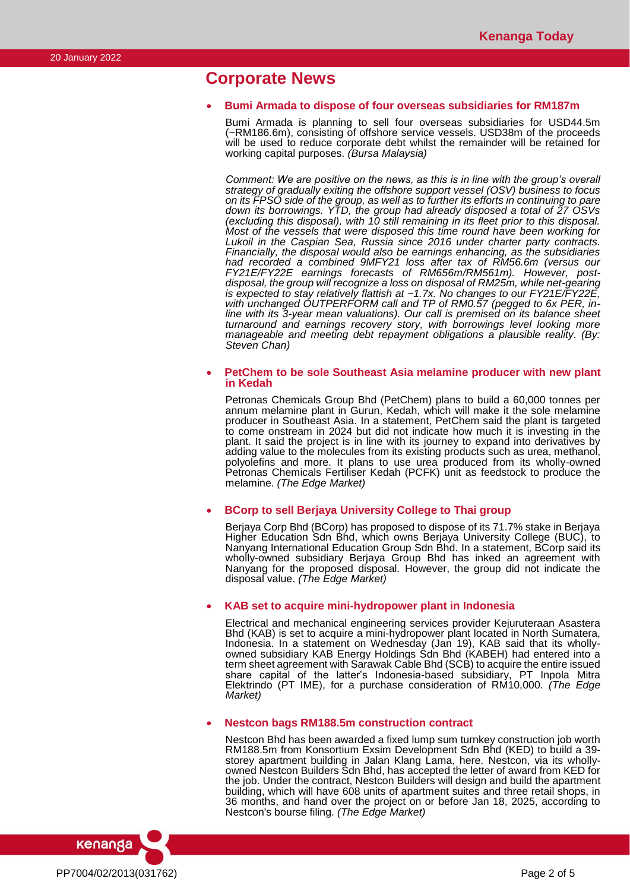# **Corporate News**

### • **Bumi Armada to dispose of four overseas subsidiaries for RM187m**

Bumi Armada is planning to sell four overseas subsidiaries for USD44.5m (~RM186.6m), consisting of offshore service vessels. USD38m of the proceeds will be used to reduce corporate debt whilst the remainder will be retained for working capital purposes. *(Bursa Malaysia)*

*Comment: We are positive on the news, as this is in line with the group's overall strategy of gradually exiting the offshore support vessel (OSV) business to focus on its FPSO side of the group, as well as to further its efforts in continuing to pare down its borrowings. YTD, the group had already disposed a total of 27 OSVs (excluding this disposal), with 10 still remaining in its fleet prior to this disposal. Most of the vessels that were disposed this time round have been working for Lukoil in the Caspian Sea, Russia since 2016 under charter party contracts. Financially, the disposal would also be earnings enhancing, as the subsidiaries had recorded a combined 9MFY21 loss after tax of RM56.6m (versus our FY21E/FY22E earnings forecasts of RM656m/RM561m). However, postdisposal, the group will recognize a loss on disposal of RM25m, while net-gearing is expected to stay relatively flattish at ~1.7x. No changes to our FY21E/FY22E, with unchanged OUTPERFORM call and TP of RM0.57 (pegged to 6x PER, inline with its 3-year mean valuations). Our call is premised on its balance sheet turnaround and earnings recovery story, with borrowings level looking more manageable and meeting debt repayment obligations a plausible reality. (By: Steven Chan)*

### • **PetChem to be sole Southeast Asia melamine producer with new plant in Kedah**

Petronas Chemicals Group Bhd (PetChem) plans to build a 60,000 tonnes per annum melamine plant in Gurun, Kedah, which will make it the sole melamine producer in Southeast Asia. In a statement, PetChem said the plant is targeted to come onstream in 2024 but did not indicate how much it is investing in the plant. It said the project is in line with its journey to expand into derivatives by adding value to the molecules from its existing products such as urea, methanol, polyolefins and more. It plans to use urea produced from its wholly-owned Petronas Chemicals Fertiliser Kedah (PCFK) unit as feedstock to produce the melamine. *(The Edge Market)*

• **BCorp to sell Berjaya University College to Thai group**

Berjaya Corp Bhd (BCorp) has proposed to dispose of its 71.7% stake in Berjaya Higher Education Sdn Bhd, which owns Berjaya University College (BUC), to Nanyang International Education Group Sdn Bhd. In a statement, BCorp said its wholly-owned subsidiary Berjaya Group Bhd has inked an agreement with Nanyang for the proposed disposal. However, the group did not indicate the disposal value. *(The Edge Market)*

## • **KAB set to acquire mini-hydropower plant in Indonesia**

Electrical and mechanical engineering services provider Kejuruteraan Asastera Bhd (KAB) is set to acquire a mini-hydropower plant located in North Sumatera, Indonesia. In a statement on Wednesday (Jan 19), KAB said that its whollyowned subsidiary KAB Energy Holdings Sdn Bhd (KABEH) had entered into a term sheet agreement with Sarawak Cable Bhd (SCB) to acquire the entire issued share capital of the latter's Indonesia-based subsidiary, PT Inpola Mitra Elektrindo (PT IME), for a purchase consideration of RM10,000. *(The Edge Market)*

### • **Nestcon bags RM188.5m construction contract**

Nestcon Bhd has been awarded a fixed lump sum turnkey construction job worth RM188.5m from Konsortium Exsim Development Sdn Bhd (KED) to build a 39 storey apartment building in Jalan Klang Lama, here. Nestcon, via its whollyowned Nestcon Builders Sdn Bhd, has accepted the letter of award from KED for the job. Under the contract, Nestcon Builders will design and build the apartment building, which will have 608 units of apartment suites and three retail shops, in 36 months, and hand over the project on or before Jan 18, 2025, according to Nestcon's bourse filing. *(The Edge Market)*

kenanga PP7004/02/2013(031762) Page 2 of 5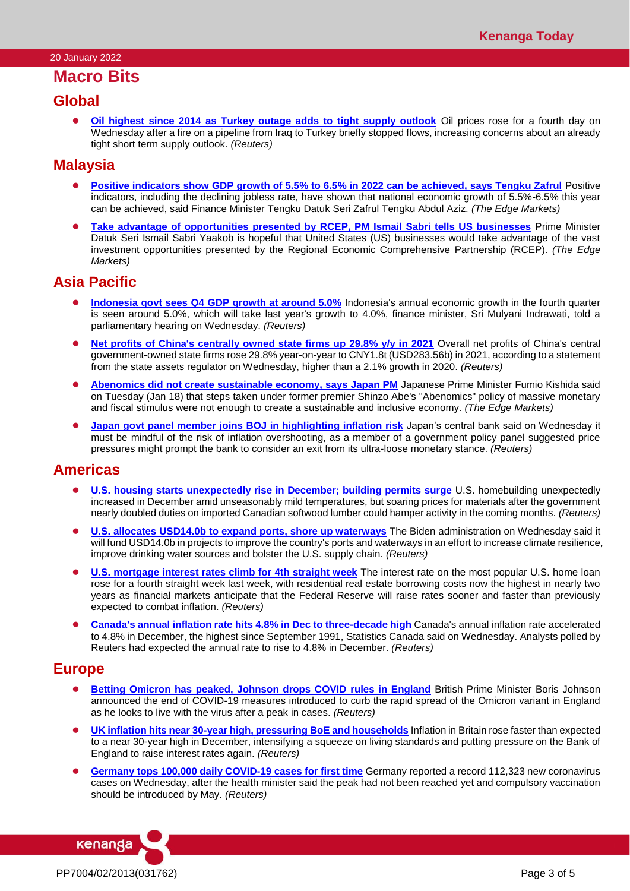## **Macro Bits**

## **Global**

⚫ **[Oil highest since 2014 as Turkey outage adds to tight supply outlook](https://www.reuters.com/business/energy/oil-rises-7-year-high-turkey-outage-adds-tight-supply-outlook-2022-01-19/)** Oil prices rose for a fourth day on Wednesday after a fire on a pipeline from Iraq to Turkey briefly stopped flows, increasing concerns about an already tight short term supply outlook. *(Reuters)*

## **Malaysia**

- ⚫ **[Positive indicators show GDP growth of 5.5% to 6.5% in 2022 can be achieved, says Tengku Zafrul](https://www.theedgemarkets.com/article/positve-indicators-show-gdp-growth-55-65-2022-can-be-achieved-says-tengku-zafrul)** Positive indicators, including the declining jobless rate, have shown that national economic growth of 5.5%-6.5% this year can be achieved, said Finance Minister Tengku Datuk Seri Zafrul Tengku Abdul Aziz. *(The Edge Markets)*
- ⚫ **[Take advantage of opportunities presented by RCEP, PM Ismail Sabri tells US businesses](https://www.theedgemarkets.com/article/take-advantage-opportunities-presented-rcep-pm-ismail-sabri-tells-us-businesses)** Prime Minister Datuk Seri Ismail Sabri Yaakob is hopeful that United States (US) businesses would take advantage of the vast investment opportunities presented by the Regional Economic Comprehensive Partnership (RCEP). *(The Edge Markets)*

## **Asia Pacific**

- **[Indonesia govt sees Q4 GDP growth at around 5.0%](https://www.reuters.com/world/asia-pacific/indonesia-govt-sees-q4-gdp-growth-around-5-2022-01-19/)** Indonesia's annual economic growth in the fourth quarter is seen around 5.0%, which will take last year's growth to 4.0%, finance minister, Sri Mulyani Indrawati, told a parliamentary hearing on Wednesday. *(Reuters)*
- [Net profits of China's centrally owned state firms up 29.8% y/y in 2021](https://www.reuters.com/world/china/net-profits-chinas-centrally-owned-state-firms-up-298-yy-2021-2022-01-19/) Overall net profits of China's central government-owned state firms rose 29.8% year-on-year to CNY1.8t (USD283.56b) in 2021, according to a statement from the state assets regulator on Wednesday, higher than a 2.1% growth in 2020. *(Reuters)*
- ⚫ **[Abenomics did not create sustainable economy, says Japan PM](https://www.theedgemarkets.com/article/abenomics-did-not-create-sustainable-economy-says-japan-pm)** Japanese Prime Minister Fumio Kishida said on Tuesday (Jan 18) that steps taken under former premier Shinzo Abe's "Abenomics" policy of massive monetary and fiscal stimulus were not enough to create a sustainable and inclusive economy. *(The Edge Markets)*
- ⚫ **[Japan govt panel member joins BOJ in highlighting inflation risk](https://www.reuters.com/article/japan-economy-panel-inflation/japan-govt-panel-member-joins-boj-in-highlighting-inflation-risk-idUSKBN2JT0Q8)** Japan's central bank said on Wednesday it must be mindful of the risk of inflation overshooting, as a member of a government policy panel suggested price pressures might prompt the bank to consider an exit from its ultra-loose monetary stance. *(Reuters)*

## **Americas**

- ⚫ **[U.S. housing starts unexpectedly rise in December; building permits surge](https://www.reuters.com/world/us/us-housing-starts-unexpectedly-rise-december-building-permits-surge-2022-01-19/)** U.S. homebuilding unexpectedly increased in December amid unseasonably mild temperatures, but soaring prices for materials after the government nearly doubled duties on imported Canadian softwood lumber could hamper activity in the coming months. *(Reuters)*
- ⚫ **[U.S. allocates USD14.0b to expand ports, shore up waterways](https://www.reuters.com/markets/commodities/us-allocates-14-bln-expand-ports-shore-up-waterways-2022-01-19/)** The Biden administration on Wednesday said it will fund USD14.0b in projects to improve the country's ports and waterways in an effort to increase climate resilience, improve drinking water sources and bolster the U.S. supply chain. *(Reuters)*
- **[U.S. mortgage interest rates climb for 4th straight week](https://www.reuters.com/world/us/us-mortgage-interest-rates-climb-4th-straight-week-2022-01-19/)** The interest rate on the most popular U.S. home loan rose for a fourth straight week last week, with residential real estate borrowing costs now the highest in nearly two years as financial markets anticipate that the Federal Reserve will raise rates sooner and faster than previously expected to combat inflation. *(Reuters)*
- ⚫ **[Canada's annual inflation rate hits 4.8% in Dec to three-decade high](https://www.reuters.com/world/americas/view-canadas-annual-inflation-rate-hits-48-dec-three-decade-high-2022-01-19/)** Canada's annual inflation rate accelerated to 4.8% in December, the highest since September 1991, Statistics Canada said on Wednesday. Analysts polled by Reuters had expected the annual rate to rise to 4.8% in December. *(Reuters)*

## **Europe**

- [Betting Omicron has peaked, Johnson drops COVID rules in England](https://www.reuters.com/article/us-health-coronavirus-britain/betting-omicron-has-peaked-johnson-drops-covid-rules-in-england-idUSKBN2JT0MZ) British Prime Minister Boris Johnson announced the end of COVID-19 measures introduced to curb the rapid spread of the Omicron variant in England as he looks to live with the virus after a peak in cases. *(Reuters)*
- ⚫ **[UK inflation hits near 30-year high, pressuring BoE and households](https://www.reuters.com/world/uk/uk-inflation-rises-highest-since-march-1992-2022-01-19/)** Inflation in Britain rose faster than expected to a near 30-year high in December, intensifying a squeeze on living standards and putting pressure on the Bank of England to raise interest rates again. *(Reuters)*
- ⚫ **[Germany tops 100,000 daily COVID-19 cases for first time](https://www.reuters.com/world/europe/germany-surpasses-100000-daily-covid-19-cases-first-time-2022-01-19/)** Germany reported a record 112,323 new coronavirus cases on Wednesday, after the health minister said the peak had not been reached yet and compulsory vaccination should be introduced by May. *(Reuters)*

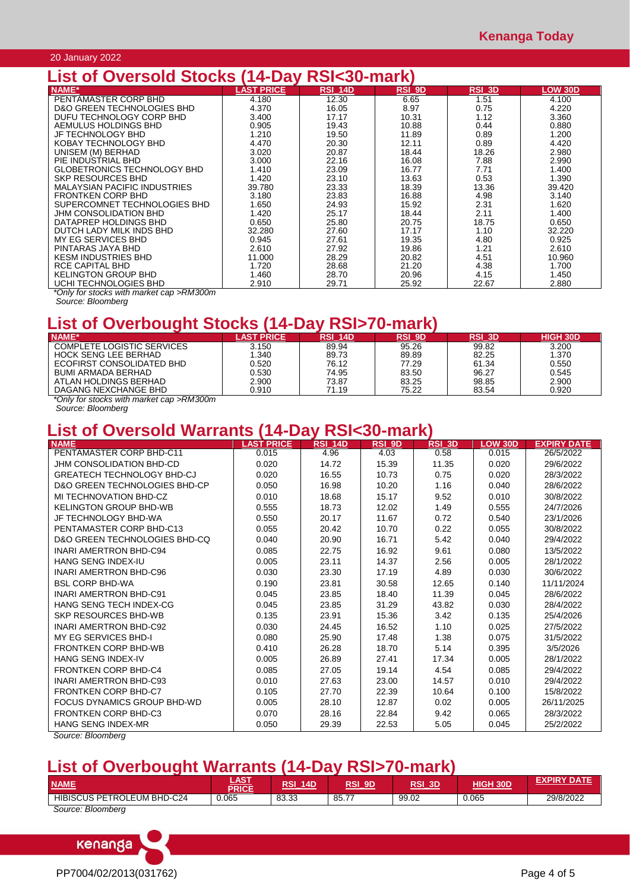## 20 January 2022

# **List of Oversold Stocks (14-Day RSI<30-mark)**

| <b>NAME*</b>                        | <b>LAST PRICE</b> |                |               |               |                |
|-------------------------------------|-------------------|----------------|---------------|---------------|----------------|
|                                     |                   | <b>RSI 14D</b> | <b>RSI 9D</b> | <b>RSI 3D</b> | <b>LOW 30D</b> |
| PENTAMASTER CORP BHD                | 4.180             | 12.30          | 6.65          | 1.51          | 4.100          |
| D&O GREEN TECHNOLOGIES BHD          | 4.370             | 16.05          | 8.97          | 0.75          | 4.220          |
| DUFU TECHNOLOGY CORP BHD            | 3.400             | 17.17          | 10.31         | 1.12          | 3.360          |
| AEMULUS HOLDINGS BHD                | 0.905             | 19.43          | 10.88         | 0.44          | 0.880          |
| JF TECHNOLOGY BHD                   | 1.210             | 19.50          | 11.89         | 0.89          | 1.200          |
| KOBAY TECHNOLOGY BHD                | 4.470             | 20.30          | 12.11         | 0.89          | 4.420          |
| UNISEM (M) BERHAD                   | 3.020             | 20.87          | 18.44         | 18.26         | 2.980          |
| PIE INDUSTRIAL BHD                  | 3.000             | 22.16          | 16.08         | 7.88          | 2.990          |
| GLOBETRONICS TECHNOLOGY BHD         | 1.410             | 23.09          | 16.77         | 7.71          | 1.400          |
| SKP RESOURCES BHD                   | 1.420             | 23.10          | 13.63         | 0.53          | 1.390          |
| <b>MALAYSIAN PACIFIC INDUSTRIES</b> | 39.780            | 23.33          | 18.39         | 13.36         | 39.420         |
| <b>FRONTKEN CORP BHD</b>            | 3.180             | 23.83          | 16.88         | 4.98          | 3.140          |
| SUPERCOMNET TECHNOLOGIES BHD        | 1.650             | 24.93          | 15.92         | 2.31          | 1.620          |
| JHM CONSOLIDATION BHD               | 1.420             | 25.17          | 18.44         | 2.11          | 1.400          |
| DATAPREP HOLDINGS BHD               | 0.650             | 25.80          | 20.75         | 18.75         | 0.650          |
| DUTCH LADY MILK INDS BHD            | 32.280            | 27.60          | 17.17         | 1.10          | 32.220         |
| MY EG SERVICES BHD                  | 0.945             | 27.61          | 19.35         | 4.80          | 0.925          |
| PINTARAS JAYA BHD                   | 2.610             | 27.92          | 19.86         | 1.21          | 2.610          |
| <b>KESM INDUSTRIES BHD</b>          | 11.000            | 28.29          | 20.82         | 4.51          | 10.960         |
| RCE CAPITAL BHD                     | 1.720             | 28.68          | 21.20         | 4.38          | 1.700          |
| KELINGTON GROUP BHD                 | 1.460             | 28.70          | 20.96         | 4.15          | 1.450          |
| UCHI TECHNOLOGIES BHD               | 2.910             | 29.71          | 25.92         | 22.67         | 2.880          |

*\*Only for stocks with market cap >RM300m*

# **List of Overbought Stocks (14-Day RSI>70-mark)**

| <b>NAME*</b>                      | <b>AST PRICE</b> | <b>RSI 14D</b> | <b>RSI 9D</b> | <b>RSI 3D</b> | <b>HIGH 30D</b> |
|-----------------------------------|------------------|----------------|---------------|---------------|-----------------|
| <b>COMPLETE LOGISTIC SERVICES</b> | 3.150            | 89.94          | 95.26         | 99.82         | 3.200           |
| <b>HOCK SENG LEE BERHAD</b>       | 1.340            | 89.73          | 89.89         | 82.25         | 1.370           |
| ECOFIRST CONSOLIDATED BHD         | 0.520            | 76.12          | 77.29         | 61.34         | 0.550           |
| BUMI ARMADA BERHAD                | 0.530            | 74.95          | 83.50         | 96.27         | 0.545           |
| ATLAN HOLDINGS BERHAD             | 2.900            | 73.87          | 83.25         | 98.85         | 2.900           |
| DAGANG NEXCHANGE BHD              | 0.910            | 71.19          | 75.22         | 83.54         | 0.920           |

*\*Only for stocks with market cap >RM300m*

*Source: Bloomberg*

# **List of Oversold Warrants (14-Day RSI<30-mark)**

| <b>NAME</b>                                  | <b>LAST PRICE</b> | <b>RSI 14D</b> | RSI <sub>9D</sub> | <b>RSI 3D</b> | LOW 30D | <b>EXPIRY DATE</b> |
|----------------------------------------------|-------------------|----------------|-------------------|---------------|---------|--------------------|
| PENTAMASTER CORP BHD-C11                     | 0.015             | 4.96           | 4.03              | 0.58          | 0.015   | 26/5/2022          |
| JHM CONSOLIDATION BHD-CD                     | 0.020             | 14.72          | 15.39             | 11.35         | 0.020   | 29/6/2022          |
| <b>GREATECH TECHNOLOGY BHD-CJ</b>            | 0.020             | 16.55          | 10.73             | 0.75          | 0.020   | 28/3/2022          |
| <b>D&amp;O GREEN TECHNOLOGIES BHD-CP</b>     | 0.050             | 16.98          | 10.20             | 1.16          | 0.040   | 28/6/2022          |
| MI TECHNOVATION BHD-CZ                       | 0.010             | 18.68          | 15.17             | 9.52          | 0.010   | 30/8/2022          |
| KELINGTON GROUP BHD-WB                       | 0.555             | 18.73          | 12.02             | 1.49          | 0.555   | 24/7/2026          |
| JF TECHNOLOGY BHD-WA                         | 0.550             | 20.17          | 11.67             | 0.72          | 0.540   | 23/1/2026          |
| PENTAMASTER CORP BHD-C13                     | 0.055             | 20.42          | 10.70             | 0.22          | 0.055   | 30/8/2022          |
| D&O GREEN TECHNOLOGIES BHD-CQ                | 0.040             | 20.90          | 16.71             | 5.42          | 0.040   | 29/4/2022          |
| <b>INARI AMERTRON BHD-C94</b>                | 0.085             | 22.75          | 16.92             | 9.61          | 0.080   | 13/5/2022          |
| HANG SENG INDEX-IU                           | 0.005             | 23.11          | 14.37             | 2.56          | 0.005   | 28/1/2022          |
| INARI AMERTRON BHD-C96                       | 0.030             | 23.30          | 17.19             | 4.89          | 0.030   | 30/6/2022          |
| <b>BSL CORP BHD-WA</b>                       | 0.190             | 23.81          | 30.58             | 12.65         | 0.140   | 11/11/2024         |
| <b>INARI AMERTRON BHD-C91</b>                | 0.045             | 23.85          | 18.40             | 11.39         | 0.045   | 28/6/2022          |
| HANG SENG TECH INDEX-CG                      | 0.045             | 23.85          | 31.29             | 43.82         | 0.030   | 28/4/2022          |
| SKP RESOURCES BHD-WB                         | 0.135             | 23.91          | 15.36             | 3.42          | 0.135   | 25/4/2026          |
| <b>INARI AMERTRON BHD-C92</b>                | 0.030             | 24.45          | 16.52             | 1.10          | 0.025   | 27/5/2022          |
| MY EG SERVICES BHD-I                         | 0.080             | 25.90          | 17.48             | 1.38          | 0.075   | 31/5/2022          |
| <b>FRONTKEN CORP BHD-WB</b>                  | 0.410             | 26.28          | 18.70             | 5.14          | 0.395   | 3/5/2026           |
| HANG SENG INDEX-IV                           | 0.005             | 26.89          | 27.41             | 17.34         | 0.005   | 28/1/2022          |
| <b>FRONTKEN CORP BHD-C4</b>                  | 0.085             | 27.05          | 19.14             | 4.54          | 0.085   | 29/4/2022          |
| <b>INARI AMERTRON BHD-C93</b>                | 0.010             | 27.63          | 23.00             | 14.57         | 0.010   | 29/4/2022          |
| <b>FRONTKEN CORP BHD-C7</b>                  | 0.105             | 27.70          | 22.39             | 10.64         | 0.100   | 15/8/2022          |
| FOCUS DYNAMICS GROUP BHD-WD                  | 0.005             | 28.10          | 12.87             | 0.02          | 0.005   | 26/11/2025         |
| <b>FRONTKEN CORP BHD-C3</b>                  | 0.070             | 28.16          | 22.84             | 9.42          | 0.065   | 28/3/2022          |
| <b>HANG SENG INDEX-MR</b><br>Course Disombon | 0.050             | 29.39          | 22.53             | 5.05          | 0.045   | 25/2/2022          |

## *Source: Bloomberg*

# **List of Overbought Warrants (14-Day RSI>70-mark)**

| <b>NAME</b>                   | <b>LAST</b><br><b>PRICE</b> | RSI<br><b>14D</b> | RSI<br>9D | RSI 3D | <b>HIGH 30D</b> | <b>EXPIRY DATE</b> |
|-------------------------------|-----------------------------|-------------------|-----------|--------|-----------------|--------------------|
| HIBISCUS PETROLEUM<br>BHD-C24 | 0.065                       | 83.33             | 85.77     | 99.02  | 0.065           | 29/8/2022          |
| : Bloombera<br>Source:        |                             |                   |           |        |                 |                    |



*Source: Bloomberg*